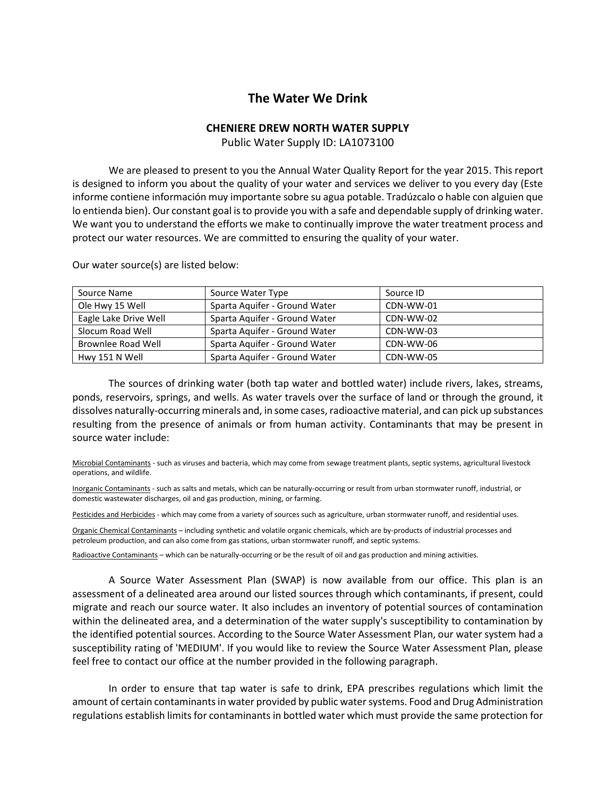## **The Water We Drink**

## **CHENIERE DREW NORTH WATER SUPPLY**

Public Water Supply ID: LA1073100

We are pleased to present to you the Annual Water Quality Report for the year 2015. This report is designed to inform you about the quality of your water and services we deliver to you every day (Este informe contiene información muy importante sobre su agua potable. Tradúzcalo o hable con alguien que lo entienda bien). Our constant goal is to provide you with a safe and dependable supply of drinking water. We want you to understand the efforts we make to continually improve the water treatment process and protect our water resources. We are committed to ensuring the quality of your water.

| Source Name           | Source Water Type             | Source ID |
|-----------------------|-------------------------------|-----------|
| Ole Hwy 15 Well       | Sparta Aquifer - Ground Water | CDN-WW-01 |
| Eagle Lake Drive Well | Sparta Aquifer - Ground Water | CDN-WW-02 |
| Slocum Road Well      | Sparta Aguifer - Ground Water | CDN-WW-03 |
| Brownlee Road Well    | Sparta Aquifer - Ground Water | CDN-WW-06 |
| Hwy 151 N Well        | Sparta Aguifer - Ground Water | CDN-WW-05 |

Our water source(s) are listed below:

The sources of drinking water (both tap water and bottled water) include rivers, lakes, streams, ponds, reservoirs, springs, and wells. As water travels over the surface of land or through the ground, it dissolves naturally-occurring minerals and, in some cases, radioactive material, and can pick up substances resulting from the presence of animals or from human activity. Contaminants that may be present in source water include:

Microbial Contaminants - such as viruses and bacteria, which may come from sewage treatment plants, septic systems, agricultural livestock operations, and wildlife.

Inorganic Contaminants - such as salts and metals, which can be naturally-occurring or result from urban stormwater runoff, industrial, or domestic wastewater discharges, oil and gas production, mining, or farming.

Pesticides and Herbicides - which may come from a variety of sources such as agriculture, urban stormwater runoff, and residential uses.

Organic Chemical Contaminants – including synthetic and volatile organic chemicals, which are by-products of industrial processes and petroleum production, and can also come from gas stations, urban stormwater runoff, and septic systems.

Radioactive Contaminants – which can be naturally-occurring or be the result of oil and gas production and mining activities.

A Source Water Assessment Plan (SWAP) is now available from our office. This plan is an assessment of a delineated area around our listed sources through which contaminants, if present, could migrate and reach our source water. It also includes an inventory of potential sources of contamination within the delineated area, and a determination of the water supply's susceptibility to contamination by the identified potential sources. According to the Source Water Assessment Plan, our water system had a susceptibility rating of 'MEDIUM'. If you would like to review the Source Water Assessment Plan, please feel free to contact our office at the number provided in the following paragraph.

In order to ensure that tap water is safe to drink, EPA prescribes regulations which limit the amount of certain contaminants in water provided by public water systems. Food and Drug Administration regulations establish limits for contaminants in bottled water which must provide the same protection for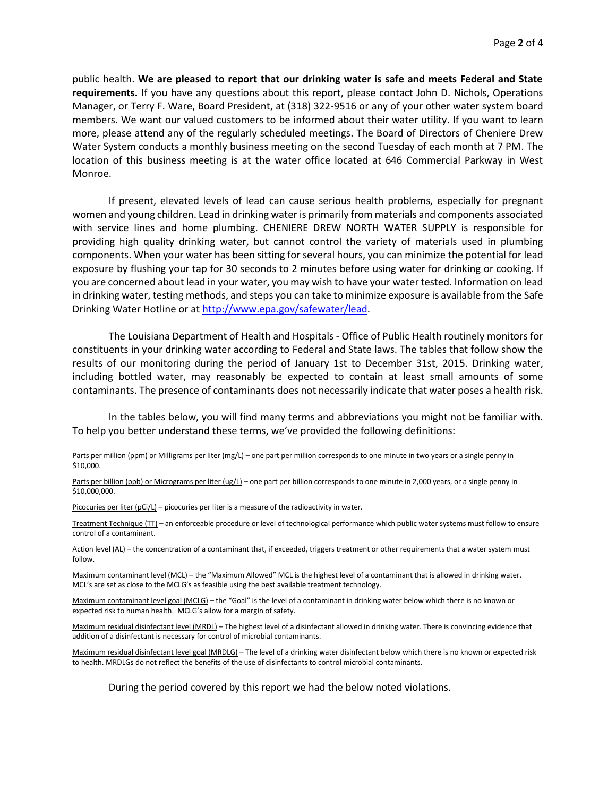public health. **We are pleased to report that our drinking water is safe and meets Federal and State requirements.** If you have any questions about this report, please contact John D. Nichols, Operations Manager, or Terry F. Ware, Board President, at (318) 322-9516 or any of your other water system board members. We want our valued customers to be informed about their water utility. If you want to learn more, please attend any of the regularly scheduled meetings. The Board of Directors of Cheniere Drew Water System conducts a monthly business meeting on the second Tuesday of each month at 7 PM. The location of this business meeting is at the water office located at 646 Commercial Parkway in West Monroe.

If present, elevated levels of lead can cause serious health problems, especially for pregnant women and young children. Lead in drinking water is primarily from materials and components associated with service lines and home plumbing. CHENIERE DREW NORTH WATER SUPPLY is responsible for providing high quality drinking water, but cannot control the variety of materials used in plumbing components. When your water has been sitting for several hours, you can minimize the potential for lead exposure by flushing your tap for 30 seconds to 2 minutes before using water for drinking or cooking. If you are concerned about lead in your water, you may wish to have your water tested. Information on lead in drinking water, testing methods, and steps you can take to minimize exposure is available from the Safe Drinking Water Hotline or at [http://www.epa.gov/safewater/lead.](http://www.epa.gov/safewater/lead)

The Louisiana Department of Health and Hospitals - Office of Public Health routinely monitors for constituents in your drinking water according to Federal and State laws. The tables that follow show the results of our monitoring during the period of January 1st to December 31st, 2015. Drinking water, including bottled water, may reasonably be expected to contain at least small amounts of some contaminants. The presence of contaminants does not necessarily indicate that water poses a health risk.

In the tables below, you will find many terms and abbreviations you might not be familiar with. To help you better understand these terms, we've provided the following definitions:

Parts per million (ppm) or Milligrams per liter (mg/L) – one part per million corresponds to one minute in two years or a single penny in \$10,000.

Parts per billion (ppb) or Micrograms per liter (ug/L) – one part per billion corresponds to one minute in 2,000 years, or a single penny in \$10,000,000.

Picocuries per liter (pCi/L) – picocuries per liter is a measure of the radioactivity in water.

Treatment Technique (TT) – an enforceable procedure or level of technological performance which public water systems must follow to ensure control of a contaminant.

Action level (AL) – the concentration of a contaminant that, if exceeded, triggers treatment or other requirements that a water system must follow.

Maximum contaminant level (MCL) – the "Maximum Allowed" MCL is the highest level of a contaminant that is allowed in drinking water. MCL's are set as close to the MCLG's as feasible using the best available treatment technology.

Maximum contaminant level goal (MCLG) – the "Goal" is the level of a contaminant in drinking water below which there is no known or expected risk to human health. MCLG's allow for a margin of safety.

Maximum residual disinfectant level (MRDL) – The highest level of a disinfectant allowed in drinking water. There is convincing evidence that addition of a disinfectant is necessary for control of microbial contaminants.

Maximum residual disinfectant level goal (MRDLG) – The level of a drinking water disinfectant below which there is no known or expected risk to health. MRDLGs do not reflect the benefits of the use of disinfectants to control microbial contaminants.

During the period covered by this report we had the below noted violations.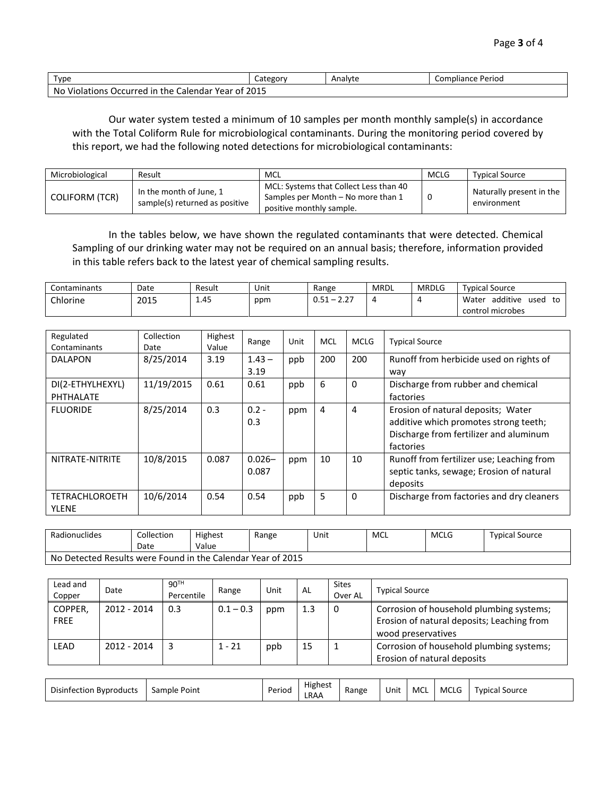| Type                                                                          |  | Analyte | Perioo ا<br>Compliance |  |  |  |  |
|-------------------------------------------------------------------------------|--|---------|------------------------|--|--|--|--|
| 2015<br>No<br>Violations C<br>Calendar<br>' Year of<br>. Occurred in '<br>the |  |         |                        |  |  |  |  |

Our water system tested a minimum of 10 samples per month monthly sample(s) in accordance with the Total Coliform Rule for microbiological contaminants. During the monitoring period covered by this report, we had the following noted detections for microbiological contaminants:

| Microbiological       | Result                                                    | MCL                                                                                                      | <b>MCLG</b> | <b>Typical Source</b>                   |
|-----------------------|-----------------------------------------------------------|----------------------------------------------------------------------------------------------------------|-------------|-----------------------------------------|
| <b>COLIFORM (TCR)</b> | In the month of June, 1<br>sample(s) returned as positive | MCL: Systems that Collect Less than 40<br>Samples per Month – No more than 1<br>positive monthly sample. |             | Naturally present in the<br>environment |

In the tables below, we have shown the regulated contaminants that were detected. Chemical Sampling of our drinking water may not be required on an annual basis; therefore, information provided in this table refers back to the latest year of chemical sampling results.

| Contaminants | Date | Result | Unit | Range                                                                          | MRDL | <b>MRDLG</b> | Tvpical Source                  |
|--------------|------|--------|------|--------------------------------------------------------------------------------|------|--------------|---------------------------------|
| Chlorine     | 2015 | 1.45   | ppm  | $\sim$ $\sim$<br><b>OE1</b><br>$\overline{\phantom{0}}$<br>U.J.L<br>. <i>.</i> |      |              | additive<br>Water<br>used<br>to |
|              |      |        |      |                                                                                |      |              | control microbes                |

| Regulated<br>Contaminants | Collection<br>Date | Highest<br>Value | Range     | Unit | <b>MCL</b> | <b>MCLG</b> | <b>Typical Source</b>                     |
|---------------------------|--------------------|------------------|-----------|------|------------|-------------|-------------------------------------------|
| <b>DALAPON</b>            | 8/25/2014          | 3.19             | $1.43 -$  | ppb  | 200        | 200         | Runoff from herbicide used on rights of   |
|                           |                    |                  | 3.19      |      |            |             | way                                       |
| DI(2-ETHYLHEXYL)          | 11/19/2015         | 0.61             | 0.61      | ppb  | 6          | 0           | Discharge from rubber and chemical        |
| PHTHALATE                 |                    |                  |           |      |            |             | factories                                 |
| <b>FLUORIDE</b>           | 8/25/2014          | 0.3              | $0.2 -$   | ppm  | 4          | 4           | Erosion of natural deposits; Water        |
|                           |                    |                  | 0.3       |      |            |             | additive which promotes strong teeth;     |
|                           |                    |                  |           |      |            |             | Discharge from fertilizer and aluminum    |
|                           |                    |                  |           |      |            |             | factories                                 |
| NITRATE-NITRITE           | 10/8/2015          | 0.087            | $0.026 -$ | ppm  | 10         | 10          | Runoff from fertilizer use; Leaching from |
|                           |                    |                  | 0.087     |      |            |             | septic tanks, sewage; Erosion of natural  |
|                           |                    |                  |           |      |            |             | deposits                                  |
| <b>TETRACHLOROETH</b>     | 10/6/2014          | 0.54             | 0.54      | ppb  | 5          | 0           | Discharge from factories and dry cleaners |
| <b>YLENE</b>              |                    |                  |           |      |            |             |                                           |

| Radionuclides                                               | Collection<br>Date | <b>Highest</b><br>Value | Range | Unit | <b>MCL</b> | <b>MCLG</b> | Tvpical Source |  |
|-------------------------------------------------------------|--------------------|-------------------------|-------|------|------------|-------------|----------------|--|
| No Detected Results were Found in the Calendar Year of 2015 |                    |                         |       |      |            |             |                |  |

| Lead and<br>Copper     | Date        | 90 <sup>TH</sup><br>Percentile | Range       | Unit | AL  | <b>Sites</b><br>Over AL | <b>Typical Source</b>                                                                                        |
|------------------------|-------------|--------------------------------|-------------|------|-----|-------------------------|--------------------------------------------------------------------------------------------------------------|
| COPPER,<br><b>FREE</b> | 2012 - 2014 | 0.3                            | $0.1 - 0.3$ | ppm  | 1.3 |                         | Corrosion of household plumbing systems;<br>Erosion of natural deposits; Leaching from<br>wood preservatives |
| <b>LEAD</b>            | 2012 - 2014 |                                | $1 - 21$    | ppb  | 15  |                         | Corrosion of household plumbing systems;<br>Erosion of natural deposits                                      |

| <b>Highest</b><br><b>Disinfection Byproducts</b><br>MCI<br><b>MCLG</b><br>Periog<br>Sample Point<br>Typical Source<br>Range<br>Unit<br>LRAA |
|---------------------------------------------------------------------------------------------------------------------------------------------|
|---------------------------------------------------------------------------------------------------------------------------------------------|